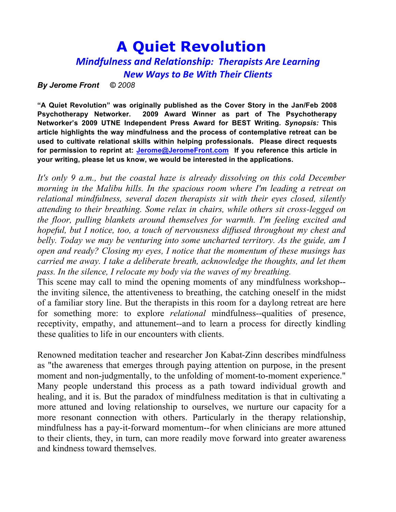# **A Quiet Revolution**

## *Mindfulness and Relationship: Therapists Are Learning New Ways to Be With Their Clients*

*By Jerome Front © 2008*

**"A Quiet Revolution" was originally published as the Cover Story in the Jan/Feb 2008 Psychotherapy Networker. 2009 Award Winner as part of The Psychotherapy Networker's 2009 UTNE Independent Press Award for BEST Writing.** *Synopsis:* **This article highlights the way mindfulness and the process of contemplative retreat can be used to cultivate relational skills within helping professionals. Please direct requests for permission to reprint at: Jerome@JeromeFront.com If you reference this article in your writing, please let us know, we would be interested in the applications.**

*It's only 9 a.m., but the coastal haze is already dissolving on this cold December morning in the Malibu hills. In the spacious room where I'm leading a retreat on relational mindfulness, several dozen therapists sit with their eyes closed, silently attending to their breathing. Some relax in chairs, while others sit cross-legged on the floor, pulling blankets around themselves for warmth. I'm feeling excited and hopeful, but I notice, too, a touch of nervousness diffused throughout my chest and*  belly. Today we may be venturing into some uncharted territory. As the guide, am I *open and ready? Closing my eyes, I notice that the momentum of these musings has carried me away. I take a deliberate breath, acknowledge the thoughts, and let them pass. In the silence, I relocate my body via the waves of my breathing.* 

This scene may call to mind the opening moments of any mindfulness workshop- the inviting silence, the attentiveness to breathing, the catching oneself in the midst of a familiar story line. But the therapists in this room for a daylong retreat are here for something more: to explore *relational* mindfulness--qualities of presence, receptivity, empathy, and attunement--and to learn a process for directly kindling these qualities to life in our encounters with clients.

Renowned meditation teacher and researcher Jon Kabat-Zinn describes mindfulness as "the awareness that emerges through paying attention on purpose, in the present moment and non-judgmentally, to the unfolding of moment-to-moment experience." Many people understand this process as a path toward individual growth and healing, and it is. But the paradox of mindfulness meditation is that in cultivating a more attuned and loving relationship to ourselves, we nurture our capacity for a more resonant connection with others. Particularly in the therapy relationship, mindfulness has a pay-it-forward momentum--for when clinicians are more attuned to their clients, they, in turn, can more readily move forward into greater awareness and kindness toward themselves.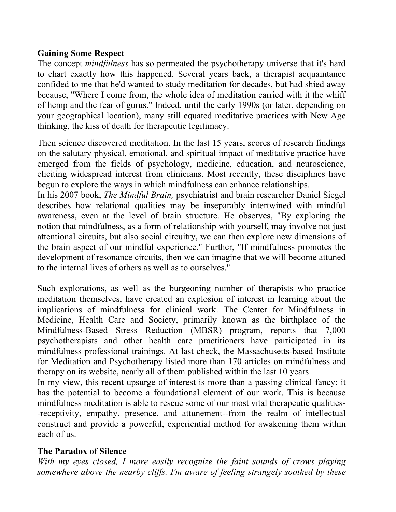## **Gaining Some Respect**

The concept *mindfulness* has so permeated the psychotherapy universe that it's hard to chart exactly how this happened. Several years back, a therapist acquaintance confided to me that he'd wanted to study meditation for decades, but had shied away because, "Where I come from, the whole idea of meditation carried with it the whiff of hemp and the fear of gurus." Indeed, until the early 1990s (or later, depending on your geographical location), many still equated meditative practices with New Age thinking, the kiss of death for therapeutic legitimacy.

Then science discovered meditation. In the last 15 years, scores of research findings on the salutary physical, emotional, and spiritual impact of meditative practice have emerged from the fields of psychology, medicine, education, and neuroscience, eliciting widespread interest from clinicians. Most recently, these disciplines have begun to explore the ways in which mindfulness can enhance relationships.

In his 2007 book, *The Mindful Brain,* psychiatrist and brain researcher Daniel Siegel describes how relational qualities may be inseparably intertwined with mindful awareness, even at the level of brain structure. He observes, "By exploring the notion that mindfulness, as a form of relationship with yourself, may involve not just attentional circuits, but also social circuitry, we can then explore new dimensions of the brain aspect of our mindful experience." Further, "If mindfulness promotes the development of resonance circuits, then we can imagine that we will become attuned to the internal lives of others as well as to ourselves."

Such explorations, as well as the burgeoning number of therapists who practice meditation themselves, have created an explosion of interest in learning about the implications of mindfulness for clinical work. The Center for Mindfulness in Medicine, Health Care and Society, primarily known as the birthplace of the Mindfulness-Based Stress Reduction (MBSR) program, reports that 7,000 psychotherapists and other health care practitioners have participated in its mindfulness professional trainings. At last check, the Massachusetts-based Institute for Meditation and Psychotherapy listed more than 170 articles on mindfulness and therapy on its website, nearly all of them published within the last 10 years.

In my view, this recent upsurge of interest is more than a passing clinical fancy; it has the potential to become a foundational element of our work. This is because mindfulness meditation is able to rescue some of our most vital therapeutic qualities- -receptivity, empathy, presence, and attunement--from the realm of intellectual construct and provide a powerful, experiential method for awakening them within each of us.

## **The Paradox of Silence**

*With my eyes closed, I more easily recognize the faint sounds of crows playing somewhere above the nearby cliffs. I'm aware of feeling strangely soothed by these*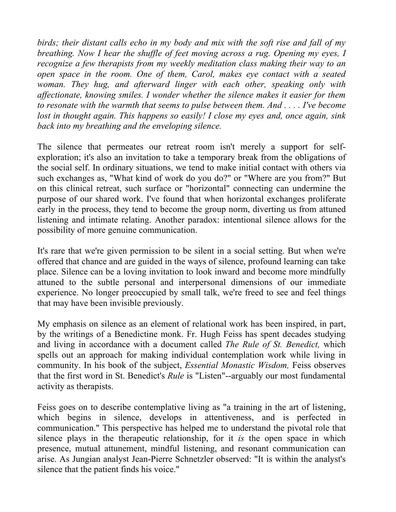*birds; their distant calls echo in my body and mix with the soft rise and fall of my breathing. Now I hear the shuffle of feet moving across a rug. Opening my eyes, I recognize a few therapists from my weekly meditation class making their way to an open space in the room. One of them, Carol, makes eye contact with a seated woman. They hug, and afterward linger with each other, speaking only with affectionate, knowing smiles. I wonder whether the silence makes it easier for them to resonate with the warmth that seems to pulse between them. And . . . . I've become lost in thought again. This happens so easily! I close my eyes and, once again, sink back into my breathing and the enveloping silence.*

The silence that permeates our retreat room isn't merely a support for selfexploration; it's also an invitation to take a temporary break from the obligations of the social self. In ordinary situations, we tend to make initial contact with others via such exchanges as, "What kind of work do you do?" or "Where are you from?" But on this clinical retreat, such surface or "horizontal" connecting can undermine the purpose of our shared work. I've found that when horizontal exchanges proliferate early in the process, they tend to become the group norm, diverting us from attuned listening and intimate relating. Another paradox: intentional silence allows for the possibility of more genuine communication.

It's rare that we're given permission to be silent in a social setting. But when we're offered that chance and are guided in the ways of silence, profound learning can take place. Silence can be a loving invitation to look inward and become more mindfully attuned to the subtle personal and interpersonal dimensions of our immediate experience. No longer preoccupied by small talk, we're freed to see and feel things that may have been invisible previously.

My emphasis on silence as an element of relational work has been inspired, in part, by the writings of a Benedictine monk. Fr. Hugh Feiss has spent decades studying and living in accordance with a document called *The Rule of St. Benedict,* which spells out an approach for making individual contemplation work while living in community. In his book of the subject, *Essential Monastic Wisdom,* Feiss observes that the first word in St. Benedict's *Rule* is "Listen"--arguably our most fundamental activity as therapists.

Feiss goes on to describe contemplative living as "a training in the art of listening, which begins in silence, develops in attentiveness, and is perfected in communication." This perspective has helped me to understand the pivotal role that silence plays in the therapeutic relationship, for it *is* the open space in which presence, mutual attunement, mindful listening, and resonant communication can arise. As Jungian analyst Jean-Pierre Schnetzler observed: "It is within the analyst's silence that the patient finds his voice."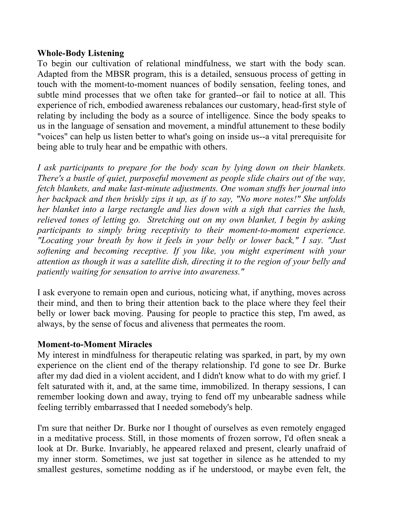#### **Whole-Body Listening**

To begin our cultivation of relational mindfulness, we start with the body scan. Adapted from the MBSR program, this is a detailed, sensuous process of getting in touch with the moment-to-moment nuances of bodily sensation, feeling tones, and subtle mind processes that we often take for granted--or fail to notice at all. This experience of rich, embodied awareness rebalances our customary, head-first style of relating by including the body as a source of intelligence. Since the body speaks to us in the language of sensation and movement, a mindful attunement to these bodily "voices" can help us listen better to what's going on inside us--a vital prerequisite for being able to truly hear and be empathic with others.

*I ask participants to prepare for the body scan by lying down on their blankets. There's a bustle of quiet, purposeful movement as people slide chairs out of the way, fetch blankets, and make last-minute adjustments. One woman stuffs her journal into her backpack and then briskly zips it up, as if to say, "No more notes!" She unfolds her blanket into a large rectangle and lies down with a sigh that carries the lush, relieved tones of letting go. Stretching out on my own blanket, I begin by asking participants to simply bring receptivity to their moment-to-moment experience. "Locating your breath by how it feels in your belly or lower back," I say. "Just softening and becoming receptive. If you like, you might experiment with your attention as though it was a satellite dish, directing it to the region of your belly and patiently waiting for sensation to arrive into awareness."*

I ask everyone to remain open and curious, noticing what, if anything, moves across their mind, and then to bring their attention back to the place where they feel their belly or lower back moving. Pausing for people to practice this step, I'm awed, as always, by the sense of focus and aliveness that permeates the room.

#### **Moment-to-Moment Miracles**

My interest in mindfulness for therapeutic relating was sparked, in part, by my own experience on the client end of the therapy relationship. I'd gone to see Dr. Burke after my dad died in a violent accident, and I didn't know what to do with my grief. I felt saturated with it, and, at the same time, immobilized. In therapy sessions, I can remember looking down and away, trying to fend off my unbearable sadness while feeling terribly embarrassed that I needed somebody's help.

I'm sure that neither Dr. Burke nor I thought of ourselves as even remotely engaged in a meditative process. Still, in those moments of frozen sorrow, I'd often sneak a look at Dr. Burke. Invariably, he appeared relaxed and present, clearly unafraid of my inner storm. Sometimes, we just sat together in silence as he attended to my smallest gestures, sometime nodding as if he understood, or maybe even felt, the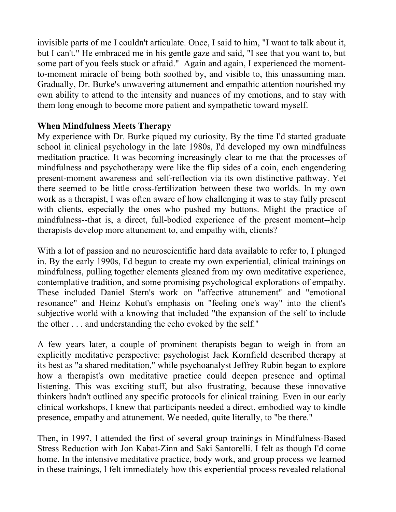invisible parts of me I couldn't articulate. Once, I said to him, "I want to talk about it, but I can't." He embraced me in his gentle gaze and said, "I see that you want to, but some part of you feels stuck or afraid." Again and again, I experienced the momentto-moment miracle of being both soothed by, and visible to, this unassuming man. Gradually, Dr. Burke's unwavering attunement and empathic attention nourished my own ability to attend to the intensity and nuances of my emotions, and to stay with them long enough to become more patient and sympathetic toward myself.

## **When Mindfulness Meets Therapy**

My experience with Dr. Burke piqued my curiosity. By the time I'd started graduate school in clinical psychology in the late 1980s, I'd developed my own mindfulness meditation practice. It was becoming increasingly clear to me that the processes of mindfulness and psychotherapy were like the flip sides of a coin, each engendering present-moment awareness and self-reflection via its own distinctive pathway. Yet there seemed to be little cross-fertilization between these two worlds. In my own work as a therapist, I was often aware of how challenging it was to stay fully present with clients, especially the ones who pushed my buttons. Might the practice of mindfulness--that is, a direct, full-bodied experience of the present moment--help therapists develop more attunement to, and empathy with, clients?

With a lot of passion and no neuroscientific hard data available to refer to, I plunged in. By the early 1990s, I'd begun to create my own experiential, clinical trainings on mindfulness, pulling together elements gleaned from my own meditative experience, contemplative tradition, and some promising psychological explorations of empathy. These included Daniel Stern's work on "affective attunement" and "emotional resonance" and Heinz Kohut's emphasis on "feeling one's way" into the client's subjective world with a knowing that included "the expansion of the self to include the other . . . and understanding the echo evoked by the self."

A few years later, a couple of prominent therapists began to weigh in from an explicitly meditative perspective: psychologist Jack Kornfield described therapy at its best as "a shared meditation," while psychoanalyst Jeffrey Rubin began to explore how a therapist's own meditative practice could deepen presence and optimal listening. This was exciting stuff, but also frustrating, because these innovative thinkers hadn't outlined any specific protocols for clinical training. Even in our early clinical workshops, I knew that participants needed a direct, embodied way to kindle presence, empathy and attunement. We needed, quite literally, to "be there."

Then, in 1997, I attended the first of several group trainings in Mindfulness-Based Stress Reduction with Jon Kabat-Zinn and Saki Santorelli. I felt as though I'd come home. In the intensive meditative practice, body work, and group process we learned in these trainings, I felt immediately how this experiential process revealed relational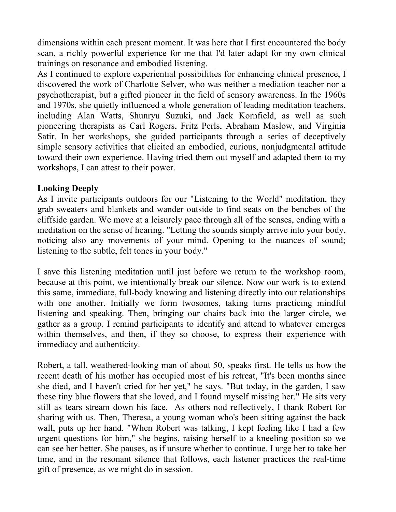dimensions within each present moment. It was here that I first encountered the body scan, a richly powerful experience for me that I'd later adapt for my own clinical trainings on resonance and embodied listening.

As I continued to explore experiential possibilities for enhancing clinical presence, I discovered the work of Charlotte Selver, who was neither a mediation teacher nor a psychotherapist, but a gifted pioneer in the field of sensory awareness. In the 1960s and 1970s, she quietly influenced a whole generation of leading meditation teachers, including Alan Watts, Shunryu Suzuki, and Jack Kornfield, as well as such pioneering therapists as Carl Rogers, Fritz Perls, Abraham Maslow, and Virginia Satir. In her workshops, she guided participants through a series of deceptively simple sensory activities that elicited an embodied, curious, nonjudgmental attitude toward their own experience. Having tried them out myself and adapted them to my workshops, I can attest to their power.

#### **Looking Deeply**

As I invite participants outdoors for our "Listening to the World" meditation, they grab sweaters and blankets and wander outside to find seats on the benches of the cliffside garden. We move at a leisurely pace through all of the senses, ending with a meditation on the sense of hearing. "Letting the sounds simply arrive into your body, noticing also any movements of your mind. Opening to the nuances of sound; listening to the subtle, felt tones in your body."

I save this listening meditation until just before we return to the workshop room, because at this point, we intentionally break our silence. Now our work is to extend this same, immediate, full-body knowing and listening directly into our relationships with one another. Initially we form twosomes, taking turns practicing mindful listening and speaking. Then, bringing our chairs back into the larger circle, we gather as a group. I remind participants to identify and attend to whatever emerges within themselves, and then, if they so choose, to express their experience with immediacy and authenticity.

Robert, a tall, weathered-looking man of about 50, speaks first. He tells us how the recent death of his mother has occupied most of his retreat, "It's been months since she died, and I haven't cried for her yet," he says. "But today, in the garden, I saw these tiny blue flowers that she loved, and I found myself missing her." He sits very still as tears stream down his face. As others nod reflectively, I thank Robert for sharing with us. Then, Theresa, a young woman who's been sitting against the back wall, puts up her hand. "When Robert was talking, I kept feeling like I had a few urgent questions for him," she begins, raising herself to a kneeling position so we can see her better. She pauses, as if unsure whether to continue. I urge her to take her time, and in the resonant silence that follows, each listener practices the real-time gift of presence, as we might do in session.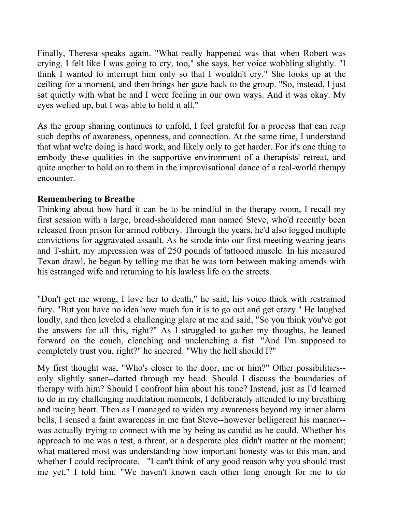Finally, Theresa speaks again. "What really happened was that when Robert was crying, I felt like I was going to cry, too," she says, her voice wobbling slightly. "I think I wanted to interrupt him only so that I wouldn't cry." She looks up at the ceiling for a moment, and then brings her gaze back to the group. "So, instead, I just sat quietly with what he and I were feeling in our own ways. And it was okay. My eyes welled up, but I was able to hold it all."

As the group sharing continues to unfold, I feel grateful for a process that can reap such depths of awareness, openness, and connection. At the same time, I understand that what we're doing is hard work, and likely only to get harder. For it's one thing to embody these qualities in the supportive environment of a therapists' retreat, and quite another to hold on to them in the improvisational dance of a real-world therapy encounter.

#### **Remembering to Breathe**

Thinking about how hard it can be to be mindful in the therapy room, I recall my first session with a large, broad-shouldered man named Steve, who'd recently been released from prison for armed robbery. Through the years, he'd also logged multiple convictions for aggravated assault. As he strode into our first meeting wearing jeans and T-shirt, my impression was of 250 pounds of tattooed muscle. In his measured Texan drawl, he began by telling me that he was torn between making amends with his estranged wife and returning to his lawless life on the streets.

"Don't get me wrong, I love her to death," he said, his voice thick with restrained fury. "But you have no idea how much fun it is to go out and get crazy." He laughed loudly, and then leveled a challenging glare at me and said, "So you think you've got the answers for all this, right?" As I struggled to gather my thoughts, he leaned forward on the couch, clenching and unclenching a fist. "And I'm supposed to completely trust you, right?" he sneered. "Why the hell should I?"

My first thought was, "Who's closer to the door, me or him?" Other possibilities- only slightly saner--darted through my head. Should I discuss the boundaries of therapy with him? Should I confront him about his tone? Instead, just as I'd learned to do in my challenging meditation moments, I deliberately attended to my breathing and racing heart. Then as I managed to widen my awareness beyond my inner alarm bells, I sensed a faint awareness in me that Steve--however belligerent his manner- was actually trying to connect with me by being as candid as he could. Whether his approach to me was a test, a threat, or a desperate plea didn't matter at the moment; what mattered most was understanding how important honesty was to this man, and whether I could reciprocate. "I can't think of any good reason why you should trust me yet," I told him. "We haven't known each other long enough for me to do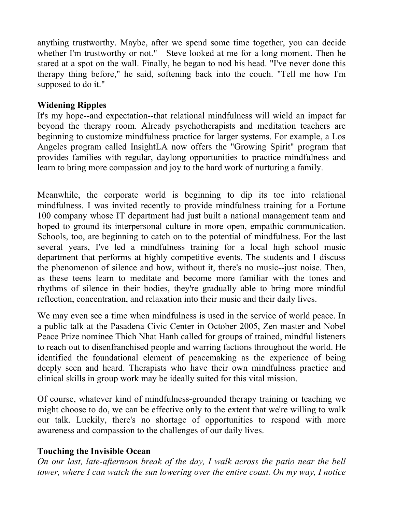anything trustworthy. Maybe, after we spend some time together, you can decide whether I'm trustworthy or not." Steve looked at me for a long moment. Then he stared at a spot on the wall. Finally, he began to nod his head. "I've never done this therapy thing before," he said, softening back into the couch. "Tell me how I'm supposed to do it."

## **Widening Ripples**

It's my hope--and expectation--that relational mindfulness will wield an impact far beyond the therapy room. Already psychotherapists and meditation teachers are beginning to customize mindfulness practice for larger systems. For example, a Los Angeles program called InsightLA now offers the "Growing Spirit" program that provides families with regular, daylong opportunities to practice mindfulness and learn to bring more compassion and joy to the hard work of nurturing a family.

Meanwhile, the corporate world is beginning to dip its toe into relational mindfulness. I was invited recently to provide mindfulness training for a Fortune 100 company whose IT department had just built a national management team and hoped to ground its interpersonal culture in more open, empathic communication. Schools, too, are beginning to catch on to the potential of mindfulness. For the last several years, I've led a mindfulness training for a local high school music department that performs at highly competitive events. The students and I discuss the phenomenon of silence and how, without it, there's no music--just noise. Then, as these teens learn to meditate and become more familiar with the tones and rhythms of silence in their bodies, they're gradually able to bring more mindful reflection, concentration, and relaxation into their music and their daily lives.

We may even see a time when mindfulness is used in the service of world peace. In a public talk at the Pasadena Civic Center in October 2005, Zen master and Nobel Peace Prize nominee Thich Nhat Hanh called for groups of trained, mindful listeners to reach out to disenfranchised people and warring factions throughout the world. He identified the foundational element of peacemaking as the experience of being deeply seen and heard. Therapists who have their own mindfulness practice and clinical skills in group work may be ideally suited for this vital mission.

Of course, whatever kind of mindfulness-grounded therapy training or teaching we might choose to do, we can be effective only to the extent that we're willing to walk our talk. Luckily, there's no shortage of opportunities to respond with more awareness and compassion to the challenges of our daily lives.

## **Touching the Invisible Ocean**

*On our last, late-afternoon break of the day, I walk across the patio near the bell tower, where I can watch the sun lowering over the entire coast. On my way, I notice*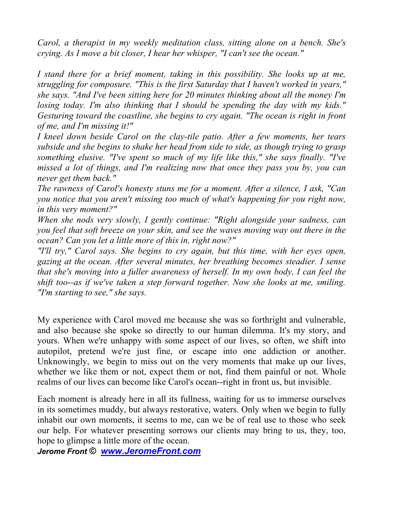*Carol, a therapist in my weekly meditation class, sitting alone on a bench. She's crying. As I move a bit closer, I hear her whisper, "I can't see the ocean."*

*I* stand there for a brief moment, taking in this possibility. She looks up at me, *struggling for composure. "This is the first Saturday that I haven't worked in years," she says. "And I've been sitting here for 20 minutes thinking about all the money I'm losing today. I'm also thinking that I should be spending the day with my kids." Gesturing toward the coastline, she begins to cry again. "The ocean is right in front of me, and I'm missing it!"*

*I kneel down beside Carol on the clay-tile patio. After a few moments, her tears subside and she begins to shake her head from side to side, as though trying to grasp something elusive. "I've spent so much of my life like this," she says finally. "I've missed a lot of things, and I'm realizing now that once they pass you by, you can never get them back."*

*The rawness of Carol's honesty stuns me for a moment. After a silence, I ask, "Can you notice that you aren't missing too much of what's happening for you right now, in this very moment?"*

*When she nods very slowly, I gently continue: "Right alongside your sadness, can you feel that soft breeze on your skin, and see the waves moving way out there in the ocean? Can you let a little more of this in, right now?"*

*"I'll try," Carol says. She begins to cry again, but this time, with her eyes open, gazing at the ocean. After several minutes, her breathing becomes steadier. I sense that she's moving into a fuller awareness of herself. In my own body, I can feel the shift too--as if we've taken a step forward together. Now she looks at me, smiling. "I'm starting to see," she says.*

My experience with Carol moved me because she was so forthright and vulnerable, and also because she spoke so directly to our human dilemma. It's my story, and yours. When we're unhappy with some aspect of our lives, so often, we shift into autopilot, pretend we're just fine, or escape into one addiction or another. Unknowingly, we begin to miss out on the very moments that make up our lives, whether we like them or not, expect them or not, find them painful or not. Whole realms of our lives can become like Carol's ocean--right in front us, but invisible.

Each moment is already here in all its fullness, waiting for us to immerse ourselves in its sometimes muddy, but always restorative, waters. Only when we begin to fully inhabit our own moments, it seems to me, can we be of real use to those who seek our help. For whatever presenting sorrows our clients may bring to us, they, too, hope to glimpse a little more of the ocean.

*Jerome Front © www.JeromeFront.com*